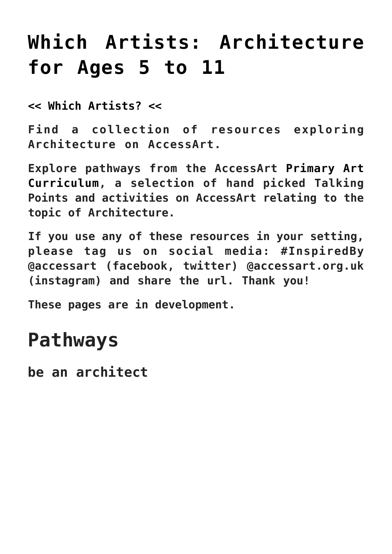# **[Which Artists: Architecture](https://www.accessart.org.uk/which-artists-architecture-5-11/) [for Ages 5 to 11](https://www.accessart.org.uk/which-artists-architecture-5-11/)**

**[<< Which Artists? <<](https://www.accessart.org.uk/which-artists/)**

**Find a collection of resources exploring Architecture on AccessArt.**

**Explore pathways from the AccessArt [Primary Art](https://www.accessart.org.uk/primary-art-curriculum/) [Curriculum,](https://www.accessart.org.uk/primary-art-curriculum/) a selection of hand picked Talking Points and activities on AccessArt relating to the topic of Architecture.**

**If you use any of these resources in your setting, please tag us on social media: #InspiredBy @accessart (facebook, twitter) @accessart.org.uk (instagram) and share the url. Thank you!**

**These pages are in development.**

## **Pathways**

**be an architect**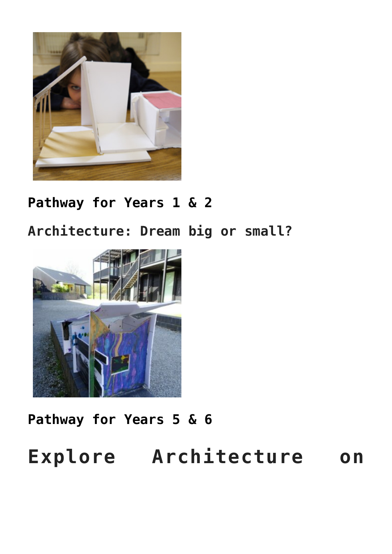

#### **[Pathway for Years 1 & 2](https://www.accessart.org.uk/be-an-architect/)**

**Architecture: Dream big or small?**



#### **[Pathway for Years 5 & 6](https://www.accessart.org.uk/architectural-design/)**

# **Explore Architecture on**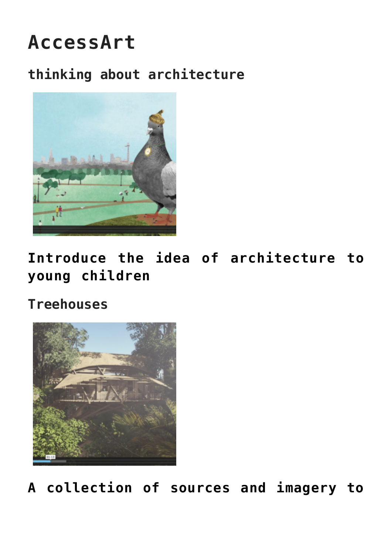# **AccessArt**

### **thinking about architecture**



**[Introduce the idea of architecture to](https://www.accessart.org.uk/talking-points-thinking-about-architecture/) [young children](https://www.accessart.org.uk/talking-points-thinking-about-architecture/)**

**Treehouses**



**[A collection of sources and imagery to](https://www.accessart.org.uk/talking-points-treehouses/)**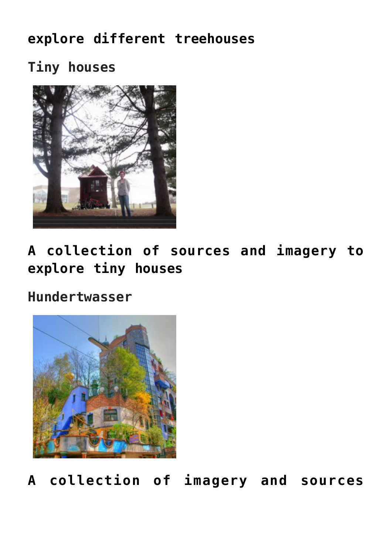### **[explore different treehouses](https://www.accessart.org.uk/talking-points-treehouses/)**

**Tiny houses**



**[A collection of sources and imagery to](https://www.accessart.org.uk/talking-points-tiny-houses/) [explore tiny houses](https://www.accessart.org.uk/talking-points-tiny-houses/)**

#### **Hundertwasser**



**[A collection of imagery and sources](https://www.accessart.org.uk/talking-points-hundertwasser-the-architect/)**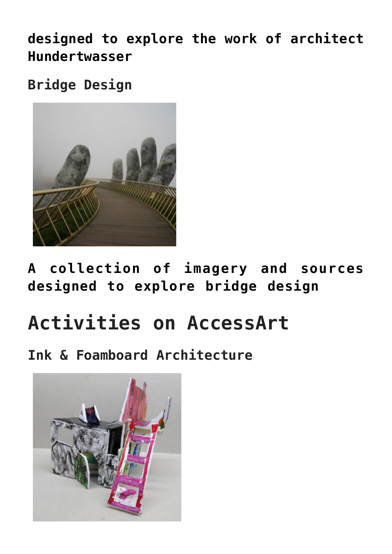**[designed to explore the work of architect](https://www.accessart.org.uk/talking-points-hundertwasser-the-architect/) [Hundertwasser](https://www.accessart.org.uk/talking-points-hundertwasser-the-architect/)**

**Bridge Design**



**[A collection of imagery and sources](https://www.accessart.org.uk/talking-points-bridge-design/) [designed to explore bridge design](https://www.accessart.org.uk/talking-points-bridge-design/)**

# **Activities on AccessArt**

**Ink & Foamboard Architecture**

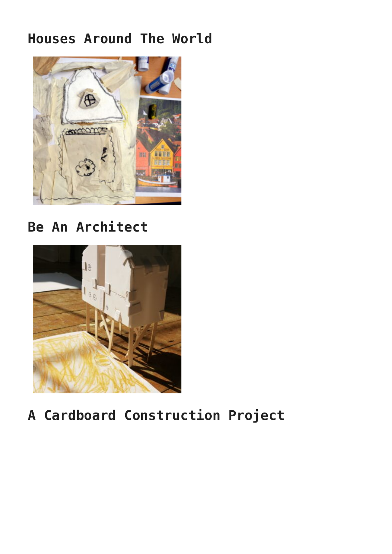#### **Houses Around The World**



**Be An Architect**



### **A Cardboard Construction Project**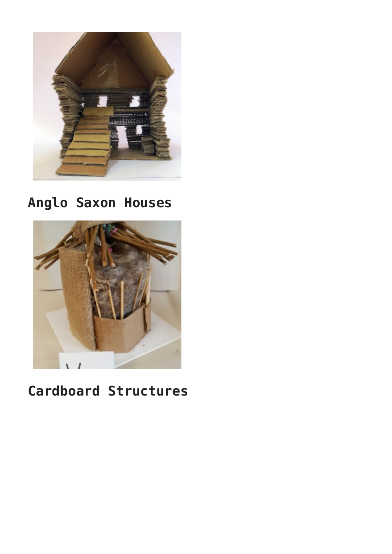

### **Anglo Saxon Houses**



### **Cardboard Structures**